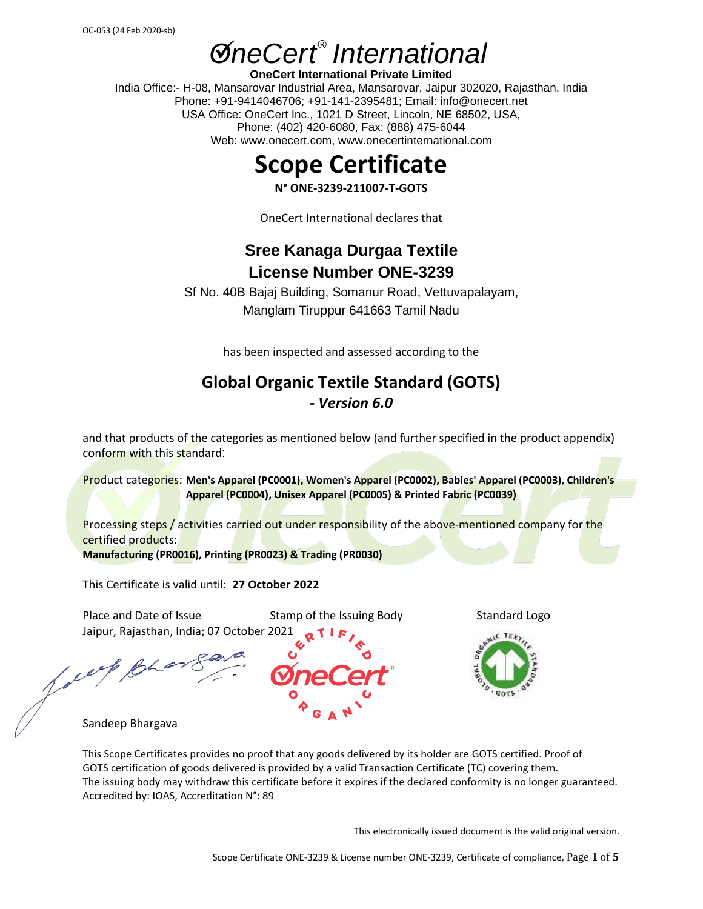# **ØneCert<sup>®</sup>** International

**OneCert International Private Limited** India Office:- H-08, Mansarovar Industrial Area, Mansarovar, Jaipur 302020, Rajasthan, India Phone: +91-9414046706; +91-141-2395481; Email: info@onecert.net USA Office: OneCert Inc., 1021 D Street, Lincoln, NE 68502, USA, Phone: (402) 420-6080, Fax: (888) 475-6044 Web: www.onecert.com, www.onecertinternational.com

### **Scope Certificate**

**N° ONE-3239-211007-T-GOTS**

OneCert International declares that

### **Sree Kanaga Durgaa Textile License Number ONE-3239**

Sf No. 40B Bajaj Building, Somanur Road, Vettuvapalayam, Manglam Tiruppur 641663 Tamil Nadu

has been inspected and assessed according to the

#### **Global Organic Textile Standard (GOTS)** *- Version 6.0*

and that products of the categories as mentioned below (and further specified in the product appendix) conform with this standard:

Product categories: **Men's Apparel (PC0001), Women's Apparel (PC0002), Babies' Apparel (PC0003), Children's Apparel (PC0004), Unisex Apparel (PC0005) & Printed Fabric (PC0039)**

Processing steps / activities carried out under responsibility of the above-mentioned company for the certified products: **Manufacturing (PR0016), Printing (PR0023) & Trading (PR0030)**

This Certificate is valid until: **27 October 2022**

Place and Date of Issue Stamp of the Issuing Body Standard Logo Jaipur, Rajasthan, India; 07 October 2021

Sandeep Bhargava

This Scope Certificates provides no proof that any goods delivered by its holder are GOTS certified. Proof of GOTS certification of goods delivered is provided by a valid Transaction Certificate (TC) covering them. The issuing body may withdraw this certificate before it expires if the declared conformity is no longer guaranteed. Accredited by: IOAS, Accreditation N°: 89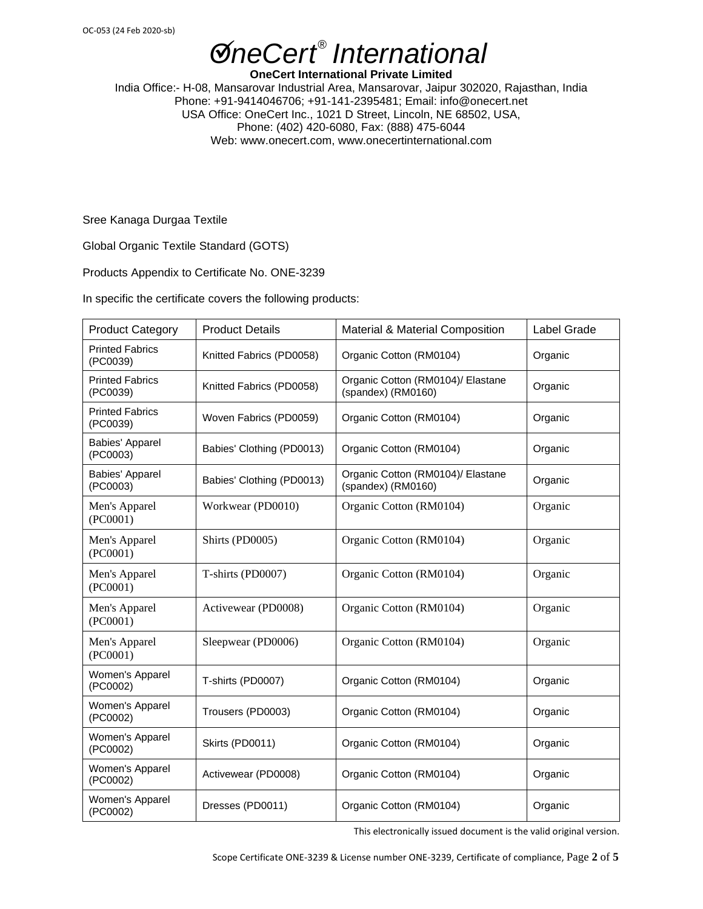**OneCert International Private Limited** India Office:- H-08, Mansarovar Industrial Area, Mansarovar, Jaipur 302020, Rajasthan, India Phone: +91-9414046706; +91-141-2395481; Email: info@onecert.net USA Office: OneCert Inc., 1021 D Street, Lincoln, NE 68502, USA, Phone: (402) 420-6080, Fax: (888) 475-6044 Web: www.onecert.com, www.onecertinternational.com

Sree Kanaga Durgaa Textile

Global Organic Textile Standard (GOTS)

Products Appendix to Certificate No. ONE-3239

In specific the certificate covers the following products:

| <b>Product Category</b>            | <b>Product Details</b>    | <b>Material &amp; Material Composition</b>              | Label Grade |
|------------------------------------|---------------------------|---------------------------------------------------------|-------------|
| <b>Printed Fabrics</b><br>(PC0039) | Knitted Fabrics (PD0058)  | Organic Cotton (RM0104)                                 | Organic     |
| <b>Printed Fabrics</b><br>(PC0039) | Knitted Fabrics (PD0058)  | Organic Cotton (RM0104)/ Elastane<br>(spandex) (RM0160) | Organic     |
| <b>Printed Fabrics</b><br>(PC0039) | Woven Fabrics (PD0059)    | Organic Cotton (RM0104)                                 | Organic     |
| <b>Babies' Apparel</b><br>(PC0003) | Babies' Clothing (PD0013) | Organic Cotton (RM0104)                                 | Organic     |
| <b>Babies' Apparel</b><br>(PC0003) | Babies' Clothing (PD0013) | Organic Cotton (RM0104)/ Elastane<br>(spandex) (RM0160) | Organic     |
| Men's Apparel<br>(PC0001)          | Workwear (PD0010)         | Organic Cotton (RM0104)                                 | Organic     |
| Men's Apparel<br>(PC0001)          | Shirts (PD0005)           | Organic Cotton (RM0104)                                 | Organic     |
| Men's Apparel<br>(PC0001)          | T-shirts (PD0007)         | Organic Cotton (RM0104)                                 | Organic     |
| Men's Apparel<br>(PC0001)          | Activewear (PD0008)       | Organic Cotton (RM0104)                                 | Organic     |
| Men's Apparel<br>(PC0001)          | Sleepwear (PD0006)        | Organic Cotton (RM0104)                                 | Organic     |
| Women's Apparel<br>(PC0002)        | T-shirts (PD0007)         | Organic Cotton (RM0104)                                 | Organic     |
| Women's Apparel<br>(PC0002)        | Trousers (PD0003)         | Organic Cotton (RM0104)                                 | Organic     |
| Women's Apparel<br>(PC0002)        | Skirts (PD0011)           | Organic Cotton (RM0104)                                 | Organic     |
| Women's Apparel<br>(PC0002)        | Activewear (PD0008)       | Organic Cotton (RM0104)                                 | Organic     |
| Women's Apparel<br>(PC0002)        | Dresses (PD0011)          | Organic Cotton (RM0104)                                 | Organic     |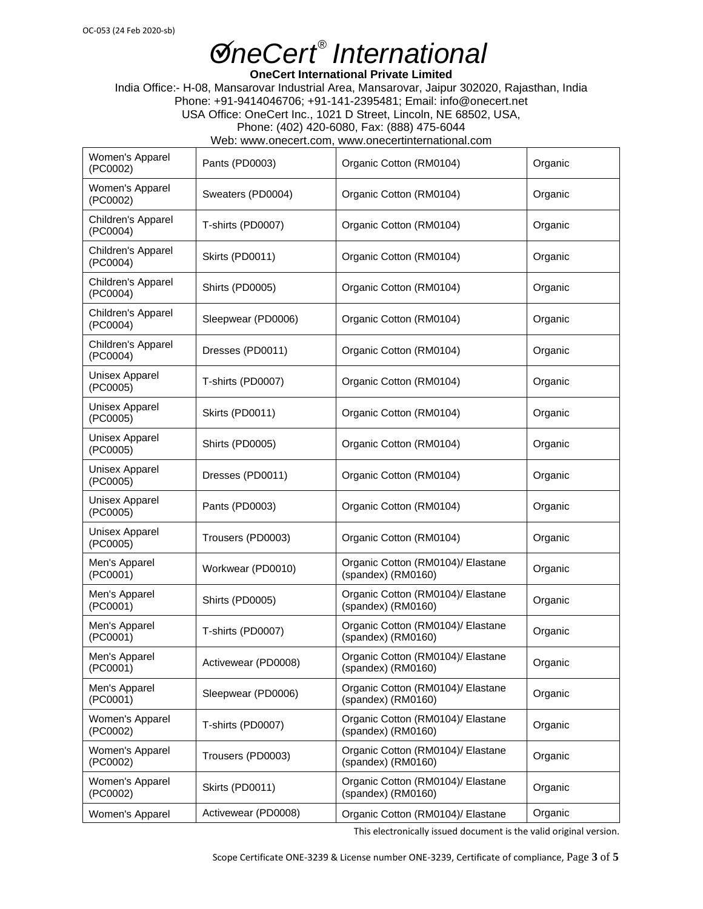**OneCert International Private Limited**

India Office:- H-08, Mansarovar Industrial Area, Mansarovar, Jaipur 302020, Rajasthan, India Phone: +91-9414046706; +91-141-2395481; Email: info@onecert.net USA Office: OneCert Inc., 1021 D Street, Lincoln, NE 68502, USA, Phone: (402) 420-6080, Fax: (888) 475-6044 Web: www.onecert.com, www.onecertinternational.com

| Women's Apparel<br>(PC0002)       | Pants (PD0003)                                                               | Organic Cotton (RM0104)                                            | Organic |
|-----------------------------------|------------------------------------------------------------------------------|--------------------------------------------------------------------|---------|
| Women's Apparel<br>(PC0002)       | Sweaters (PD0004)                                                            | Organic Cotton (RM0104)                                            | Organic |
| Children's Apparel<br>(PC0004)    | T-shirts (PD0007)                                                            | Organic Cotton (RM0104)                                            | Organic |
| Children's Apparel<br>(PC0004)    | Skirts (PD0011)                                                              | Organic Cotton (RM0104)                                            | Organic |
| Children's Apparel<br>(PC0004)    | Shirts (PD0005)                                                              | Organic Cotton (RM0104)                                            |         |
| Children's Apparel<br>(PC0004)    | Sleepwear (PD0006)                                                           | Organic Cotton (RM0104)                                            | Organic |
| Children's Apparel<br>(PC0004)    | Dresses (PD0011)                                                             | Organic Cotton (RM0104)                                            | Organic |
| <b>Unisex Apparel</b><br>(PC0005) | T-shirts (PD0007)                                                            | Organic Cotton (RM0104)                                            | Organic |
| Unisex Apparel<br>(PC0005)        | Skirts (PD0011)<br>Organic Cotton (RM0104)                                   |                                                                    | Organic |
| <b>Unisex Apparel</b><br>(PC0005) | Shirts (PD0005)<br>Organic Cotton (RM0104)                                   |                                                                    | Organic |
| <b>Unisex Apparel</b><br>(PC0005) | Dresses (PD0011)<br>Organic Cotton (RM0104)                                  |                                                                    | Organic |
| <b>Unisex Apparel</b><br>(PC0005) | Organic Cotton (RM0104)<br>Pants (PD0003)                                    |                                                                    | Organic |
| <b>Unisex Apparel</b><br>(PC0005) | Trousers (PD0003)<br>Organic Cotton (RM0104)                                 |                                                                    | Organic |
| Men's Apparel<br>(PC0001)         | Workwear (PD0010)                                                            | Organic Cotton (RM0104)/ Elastane<br>(spandex) (RM0160)            |         |
| Men's Apparel<br>(PC0001)         | Shirts (PD0005)                                                              | Organic Cotton (RM0104)/ Elastane<br>(spandex) (RM0160)            |         |
| Men's Apparel<br>(PC0001)         | T-shirts (PD0007)                                                            | Organic Cotton (RM0104)/ Elastane<br>(spandex) (RM0160)            | Organic |
| Men's Apparel<br>(PC0001)         | Activewear (PD0008)                                                          | Organic Cotton (RM0104)/ Elastane<br>$(s$ pandex $)$ (RM0160)      | Organic |
| Men's Apparel<br>(PC0001)         | Sleepwear (PD0006)                                                           | Organic Cotton (RM0104)/ Elastane<br>(spandex) (RM0160)            | Organic |
| Women's Apparel<br>(PC0002)       | Organic Cotton (RM0104)/ Elastane<br>T-shirts (PD0007)<br>(spandex) (RM0160) |                                                                    | Organic |
| Women's Apparel<br>(PC0002)       | Trousers (PD0003)                                                            | Organic Cotton (RM0104)/ Elastane<br>Organic<br>(spandex) (RM0160) |         |
| Women's Apparel<br>(PC0002)       | Skirts (PD0011)                                                              | Organic Cotton (RM0104)/ Elastane<br>(spandex) (RM0160)            | Organic |
| Women's Apparel                   | Activewear (PD0008)                                                          | Organic<br>Organic Cotton (RM0104)/ Elastane                       |         |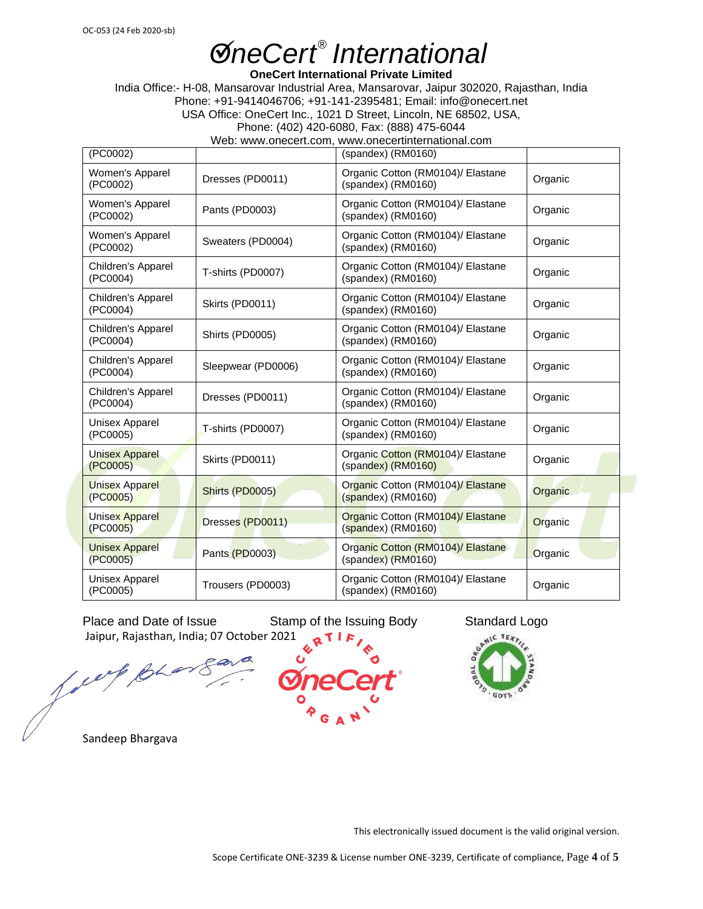**OneCert International Private Limited**

India Office:- H-08, Mansarovar Industrial Area, Mansarovar, Jaipur 302020, Rajasthan, India Phone: +91-9414046706; +91-141-2395481; Email: info@onecert.net USA Office: OneCert Inc., 1021 D Street, Lincoln, NE 68502, USA, Phone: (402) 420-6080, Fax: (888) 475-6044

Web: www.onecert.com, www.onecertinternational.com

| (PC0002)                          |                                                                              | $(spandes)$ (RM0160)                                                 |         |  |
|-----------------------------------|------------------------------------------------------------------------------|----------------------------------------------------------------------|---------|--|
| Women's Apparel<br>(PC0002)       | Dresses (PD0011)                                                             | Organic Cotton (RM0104)/ Elastane<br>Organic<br>$(spandes)$ (RM0160) |         |  |
| Women's Apparel<br>(PC0002)       | Pants (PD0003)                                                               | Organic Cotton (RM0104)/ Elastane<br>(spandex) (RM0160)              | Organic |  |
| Women's Apparel<br>(PC0002)       | Sweaters (PD0004)                                                            | Organic Cotton (RM0104)/ Elastane<br>(spandex) (RM0160)              | Organic |  |
| Children's Apparel<br>(PC0004)    | T-shirts (PD0007)                                                            | Organic Cotton (RM0104)/ Elastane<br>(spandex) (RM0160)              | Organic |  |
| Children's Apparel<br>(PC0004)    | Skirts (PD0011)                                                              | Organic Cotton (RM0104)/ Elastane<br>Organic<br>(spandex) (RM0160)   |         |  |
| Children's Apparel<br>(PC0004)    | Organic Cotton (RM0104)/ Elastane<br>Shirts (PD0005)<br>$(spandes)$ (RM0160) |                                                                      | Organic |  |
| Children's Apparel<br>(PC0004)    | Sleepwear (PD0006)                                                           | Organic Cotton (RM0104)/ Elastane<br>Organic<br>(spandex) (RM0160)   |         |  |
| Children's Apparel<br>(PC0004)    | Dresses (PD0011)                                                             | Organic Cotton (RM0104)/ Elastane<br>(spandex) (RM0160)              | Organic |  |
| Unisex Apparel<br>(PC0005)        | Organic Cotton (RM0104)/ Elastane<br>T-shirts (PD0007)<br>(spandex) (RM0160) |                                                                      | Organic |  |
| <b>Unisex Apparel</b><br>(PC0005) | Skirts (PD0011)                                                              | Organic Cotton (RM0104)/ Elastane<br>(spandex) (RM0160)              | Organic |  |
| <b>Unisex Apparel</b><br>(PC0005) | Shirts (PD0005)                                                              | Organic Cotton (RM0104)/ Elastane<br>$(spandex)$ (RM0160)            | Organic |  |
| <b>Unisex Apparel</b><br>(PC0005) | Dresses (PD0011)                                                             | Organic Cotton (RM0104)/ Elastane<br>$(spandex)$ (RM0160)            | Organic |  |
| <b>Unisex Apparel</b><br>(PC0005) | Pants (PD0003)                                                               | Organic Cotton (RM0104)/ Elastane<br>Organic<br>(spandex) (RM0160)   |         |  |
| <b>Unisex Apparel</b><br>(PC0005) | Trousers (PD0003)                                                            | Organic Cotton (RM0104)/ Elastane<br>(spandex) (RM0160)              | Organic |  |

Place and Date of Issue Stamp of the Issuing Body Standard Logo Jaipur, Rajasthan, India; 07 October 2021

fore,



Sandeep Bhargava